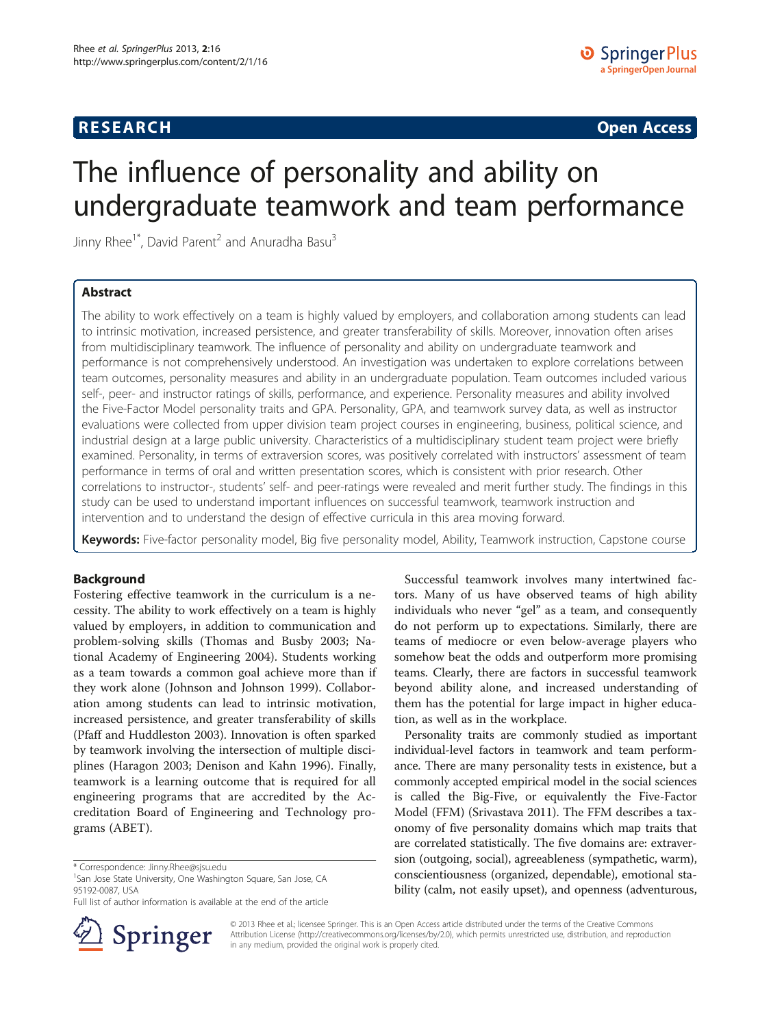## **RESEARCH RESEARCH CONSUMING ACCESS**

# The influence of personality and ability on undergraduate teamwork and team performance

Jinny Rhee<sup>1\*</sup>, David Parent<sup>2</sup> and Anuradha Basu<sup>3</sup>

## Abstract

The ability to work effectively on a team is highly valued by employers, and collaboration among students can lead to intrinsic motivation, increased persistence, and greater transferability of skills. Moreover, innovation often arises from multidisciplinary teamwork. The influence of personality and ability on undergraduate teamwork and performance is not comprehensively understood. An investigation was undertaken to explore correlations between team outcomes, personality measures and ability in an undergraduate population. Team outcomes included various self-, peer- and instructor ratings of skills, performance, and experience. Personality measures and ability involved the Five-Factor Model personality traits and GPA. Personality, GPA, and teamwork survey data, as well as instructor evaluations were collected from upper division team project courses in engineering, business, political science, and industrial design at a large public university. Characteristics of a multidisciplinary student team project were briefly examined. Personality, in terms of extraversion scores, was positively correlated with instructors' assessment of team performance in terms of oral and written presentation scores, which is consistent with prior research. Other correlations to instructor-, students' self- and peer-ratings were revealed and merit further study. The findings in this study can be used to understand important influences on successful teamwork, teamwork instruction and intervention and to understand the design of effective curricula in this area moving forward.

Keywords: Five-factor personality model, Big five personality model, Ability, Teamwork instruction, Capstone course

## Background

Fostering effective teamwork in the curriculum is a necessity. The ability to work effectively on a team is highly valued by employers, in addition to communication and problem-solving skills (Thomas and Busby [2003](#page-13-0); National Academy of Engineering [2004\)](#page-13-0). Students working as a team towards a common goal achieve more than if they work alone (Johnson and Johnson [1999](#page-13-0)). Collaboration among students can lead to intrinsic motivation, increased persistence, and greater transferability of skills (Pfaff and Huddleston [2003\)](#page-13-0). Innovation is often sparked by teamwork involving the intersection of multiple disciplines (Haragon [2003;](#page-12-0) Denison and Kahn [1996\)](#page-12-0). Finally, teamwork is a learning outcome that is required for all engineering programs that are accredited by the Accreditation Board of Engineering and Technology programs (ABET).

Full list of author information is available at the end of the article



Successful teamwork involves many intertwined factors. Many of us have observed teams of high ability individuals who never "gel" as a team, and consequently do not perform up to expectations. Similarly, there are teams of mediocre or even below-average players who somehow beat the odds and outperform more promising teams. Clearly, there are factors in successful teamwork beyond ability alone, and increased understanding of them has the potential for large impact in higher education, as well as in the workplace.

Personality traits are commonly studied as important individual-level factors in teamwork and team performance. There are many personality tests in existence, but a commonly accepted empirical model in the social sciences is called the Big-Five, or equivalently the Five-Factor Model (FFM) (Srivastava [2011\)](#page-13-0). The FFM describes a taxonomy of five personality domains which map traits that are correlated statistically. The five domains are: extraversion (outgoing, social), agreeableness (sympathetic, warm), conscientiousness (organized, dependable), emotional stability (calm, not easily upset), and openness (adventurous,

© 2013 Rhee et al.; licensee Springer. This is an Open Access article distributed under the terms of the Creative Commons Attribution License [\(http://creativecommons.org/licenses/by/2.0\)](http://creativecommons.org/licenses/by/2.0), which permits unrestricted use, distribution, and reproduction in any medium, provided the original work is properly cited.

<sup>\*</sup> Correspondence: [Jinny.Rhee@sjsu.edu](mailto:Jinny.Rhee@sjsu.edu) <sup>1</sup>

<sup>&</sup>lt;sup>1</sup>San Jose State University, One Washington Square, San Jose, CA 95192-0087, USA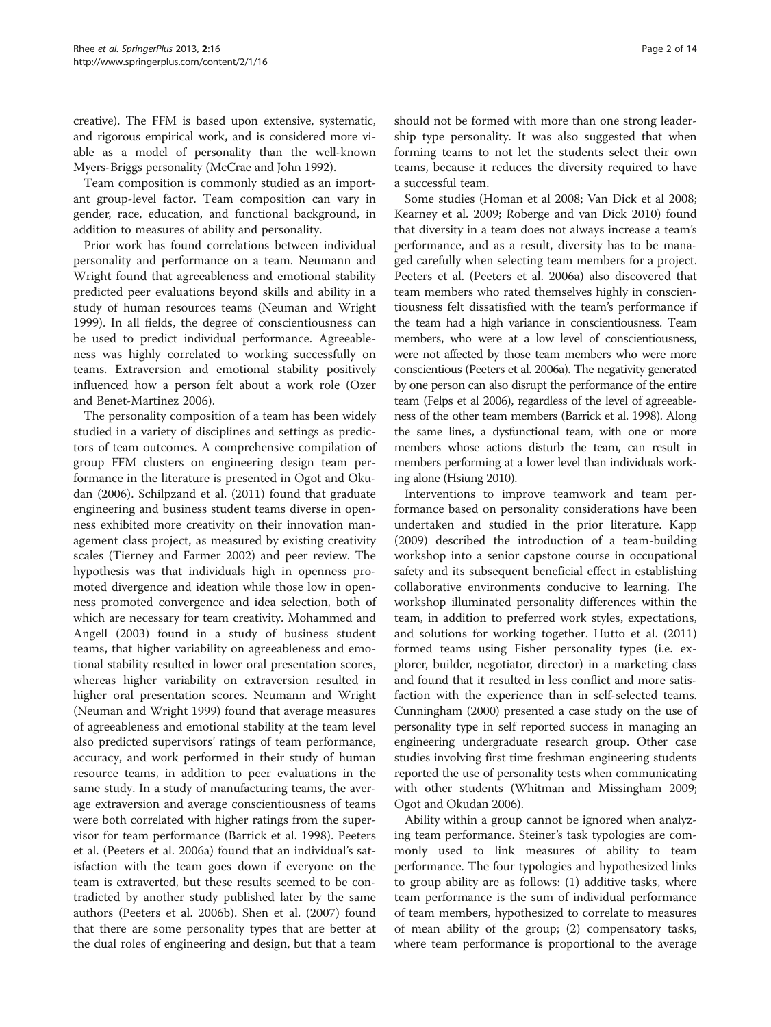creative). The FFM is based upon extensive, systematic, and rigorous empirical work, and is considered more viable as a model of personality than the well-known Myers-Briggs personality (McCrae and John [1992\)](#page-13-0).

Team composition is commonly studied as an important group-level factor. Team composition can vary in gender, race, education, and functional background, in addition to measures of ability and personality.

Prior work has found correlations between individual personality and performance on a team. Neumann and Wright found that agreeableness and emotional stability predicted peer evaluations beyond skills and ability in a study of human resources teams (Neuman and Wright [1999](#page-13-0)). In all fields, the degree of conscientiousness can be used to predict individual performance. Agreeableness was highly correlated to working successfully on teams. Extraversion and emotional stability positively influenced how a person felt about a work role (Ozer and Benet-Martinez [2006\)](#page-13-0).

The personality composition of a team has been widely studied in a variety of disciplines and settings as predictors of team outcomes. A comprehensive compilation of group FFM clusters on engineering design team performance in the literature is presented in Ogot and Okudan [\(2006](#page-13-0)). Schilpzand et al. ([2011\)](#page-13-0) found that graduate engineering and business student teams diverse in openness exhibited more creativity on their innovation management class project, as measured by existing creativity scales (Tierney and Farmer [2002](#page-13-0)) and peer review. The hypothesis was that individuals high in openness promoted divergence and ideation while those low in openness promoted convergence and idea selection, both of which are necessary for team creativity. Mohammed and Angell ([2003](#page-13-0)) found in a study of business student teams, that higher variability on agreeableness and emotional stability resulted in lower oral presentation scores, whereas higher variability on extraversion resulted in higher oral presentation scores. Neumann and Wright (Neuman and Wright [1999\)](#page-13-0) found that average measures of agreeableness and emotional stability at the team level also predicted supervisors' ratings of team performance, accuracy, and work performed in their study of human resource teams, in addition to peer evaluations in the same study. In a study of manufacturing teams, the average extraversion and average conscientiousness of teams were both correlated with higher ratings from the supervisor for team performance (Barrick et al. [1998\)](#page-12-0). Peeters et al. (Peeters et al. [2006a\)](#page-13-0) found that an individual's satisfaction with the team goes down if everyone on the team is extraverted, but these results seemed to be contradicted by another study published later by the same authors (Peeters et al. [2006b\)](#page-13-0). Shen et al. ([2007](#page-13-0)) found that there are some personality types that are better at the dual roles of engineering and design, but that a team

should not be formed with more than one strong leadership type personality. It was also suggested that when forming teams to not let the students select their own teams, because it reduces the diversity required to have a successful team.

Some studies (Homan et al [2008](#page-13-0); Van Dick et al [2008](#page-13-0); Kearney et al. [2009](#page-13-0); Roberge and van Dick [2010\)](#page-13-0) found that diversity in a team does not always increase a team's performance, and as a result, diversity has to be managed carefully when selecting team members for a project. Peeters et al. (Peeters et al. [2006a](#page-13-0)) also discovered that team members who rated themselves highly in conscientiousness felt dissatisfied with the team's performance if the team had a high variance in conscientiousness. Team members, who were at a low level of conscientiousness, were not affected by those team members who were more conscientious (Peeters et al. [2006a](#page-13-0)). The negativity generated by one person can also disrupt the performance of the entire team (Felps et al [2006](#page-12-0)), regardless of the level of agreeableness of the other team members (Barrick et al. [1998](#page-12-0)). Along the same lines, a dysfunctional team, with one or more members whose actions disturb the team, can result in members performing at a lower level than individuals working alone (Hsiung [2010\)](#page-13-0).

Interventions to improve teamwork and team performance based on personality considerations have been undertaken and studied in the prior literature. Kapp ([2009\)](#page-13-0) described the introduction of a team-building workshop into a senior capstone course in occupational safety and its subsequent beneficial effect in establishing collaborative environments conducive to learning. The workshop illuminated personality differences within the team, in addition to preferred work styles, expectations, and solutions for working together. Hutto et al. ([2011](#page-13-0)) formed teams using Fisher personality types (i.e. explorer, builder, negotiator, director) in a marketing class and found that it resulted in less conflict and more satisfaction with the experience than in self-selected teams. Cunningham ([2000\)](#page-12-0) presented a case study on the use of personality type in self reported success in managing an engineering undergraduate research group. Other case studies involving first time freshman engineering students reported the use of personality tests when communicating with other students (Whitman and Missingham [2009](#page-13-0); Ogot and Okudan [2006](#page-13-0)).

Ability within a group cannot be ignored when analyzing team performance. Steiner's task typologies are commonly used to link measures of ability to team performance. The four typologies and hypothesized links to group ability are as follows: (1) additive tasks, where team performance is the sum of individual performance of team members, hypothesized to correlate to measures of mean ability of the group; (2) compensatory tasks, where team performance is proportional to the average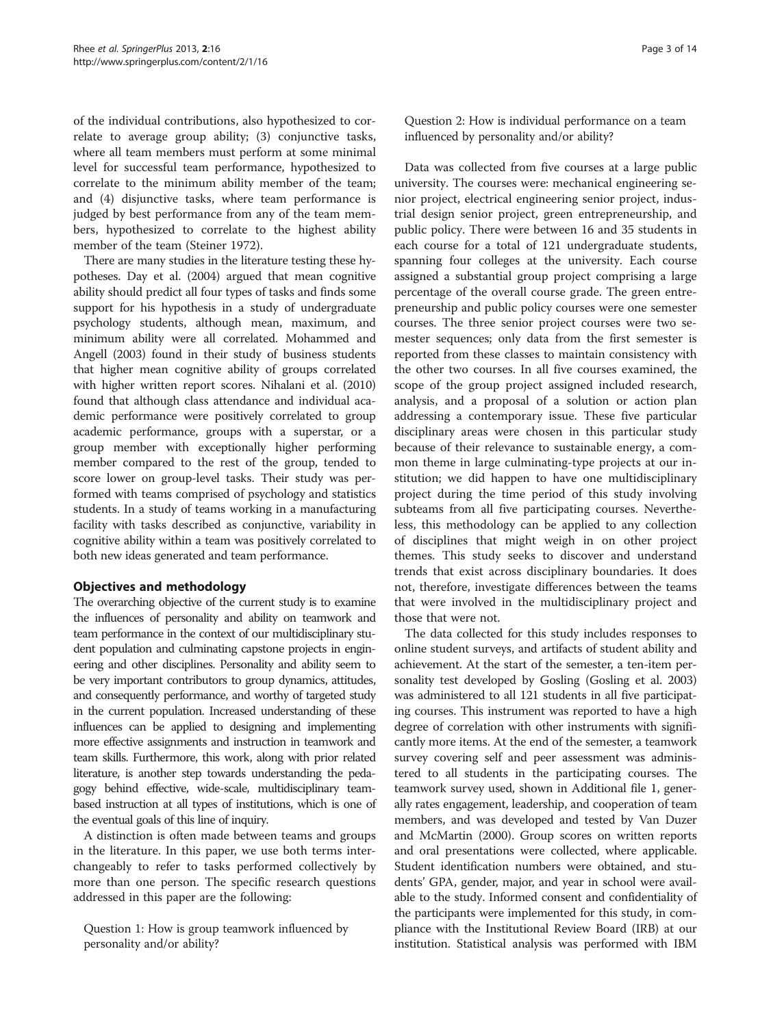of the individual contributions, also hypothesized to correlate to average group ability; (3) conjunctive tasks, where all team members must perform at some minimal level for successful team performance, hypothesized to correlate to the minimum ability member of the team; and (4) disjunctive tasks, where team performance is judged by best performance from any of the team members, hypothesized to correlate to the highest ability member of the team (Steiner [1972\)](#page-13-0).

There are many studies in the literature testing these hypotheses. Day et al. ([2004\)](#page-12-0) argued that mean cognitive ability should predict all four types of tasks and finds some support for his hypothesis in a study of undergraduate psychology students, although mean, maximum, and minimum ability were all correlated. Mohammed and Angell [\(2003\)](#page-13-0) found in their study of business students that higher mean cognitive ability of groups correlated with higher written report scores. Nihalani et al. [\(2010](#page-13-0)) found that although class attendance and individual academic performance were positively correlated to group academic performance, groups with a superstar, or a group member with exceptionally higher performing member compared to the rest of the group, tended to score lower on group-level tasks. Their study was performed with teams comprised of psychology and statistics students. In a study of teams working in a manufacturing facility with tasks described as conjunctive, variability in cognitive ability within a team was positively correlated to both new ideas generated and team performance.

## Objectives and methodology

The overarching objective of the current study is to examine the influences of personality and ability on teamwork and team performance in the context of our multidisciplinary student population and culminating capstone projects in engineering and other disciplines. Personality and ability seem to be very important contributors to group dynamics, attitudes, and consequently performance, and worthy of targeted study in the current population. Increased understanding of these influences can be applied to designing and implementing more effective assignments and instruction in teamwork and team skills. Furthermore, this work, along with prior related literature, is another step towards understanding the pedagogy behind effective, wide-scale, multidisciplinary teambased instruction at all types of institutions, which is one of the eventual goals of this line of inquiry.

A distinction is often made between teams and groups in the literature. In this paper, we use both terms interchangeably to refer to tasks performed collectively by more than one person. The specific research questions addressed in this paper are the following:

Question 1: How is group teamwork influenced by personality and/or ability?

Question 2: How is individual performance on a team influenced by personality and/or ability?

Data was collected from five courses at a large public university. The courses were: mechanical engineering senior project, electrical engineering senior project, industrial design senior project, green entrepreneurship, and public policy. There were between 16 and 35 students in each course for a total of 121 undergraduate students, spanning four colleges at the university. Each course assigned a substantial group project comprising a large percentage of the overall course grade. The green entrepreneurship and public policy courses were one semester courses. The three senior project courses were two semester sequences; only data from the first semester is reported from these classes to maintain consistency with the other two courses. In all five courses examined, the scope of the group project assigned included research, analysis, and a proposal of a solution or action plan addressing a contemporary issue. These five particular disciplinary areas were chosen in this particular study because of their relevance to sustainable energy, a common theme in large culminating-type projects at our institution; we did happen to have one multidisciplinary project during the time period of this study involving subteams from all five participating courses. Nevertheless, this methodology can be applied to any collection of disciplines that might weigh in on other project themes. This study seeks to discover and understand trends that exist across disciplinary boundaries. It does not, therefore, investigate differences between the teams that were involved in the multidisciplinary project and those that were not.

The data collected for this study includes responses to online student surveys, and artifacts of student ability and achievement. At the start of the semester, a ten-item personality test developed by Gosling (Gosling et al. [2003](#page-12-0)) was administered to all 121 students in all five participating courses. This instrument was reported to have a high degree of correlation with other instruments with significantly more items. At the end of the semester, a teamwork survey covering self and peer assessment was administered to all students in the participating courses. The teamwork survey used, shown in Additional file [1,](#page-12-0) generally rates engagement, leadership, and cooperation of team members, and was developed and tested by Van Duzer and McMartin ([2000](#page-13-0)). Group scores on written reports and oral presentations were collected, where applicable. Student identification numbers were obtained, and students' GPA, gender, major, and year in school were available to the study. Informed consent and confidentiality of the participants were implemented for this study, in compliance with the Institutional Review Board (IRB) at our institution. Statistical analysis was performed with IBM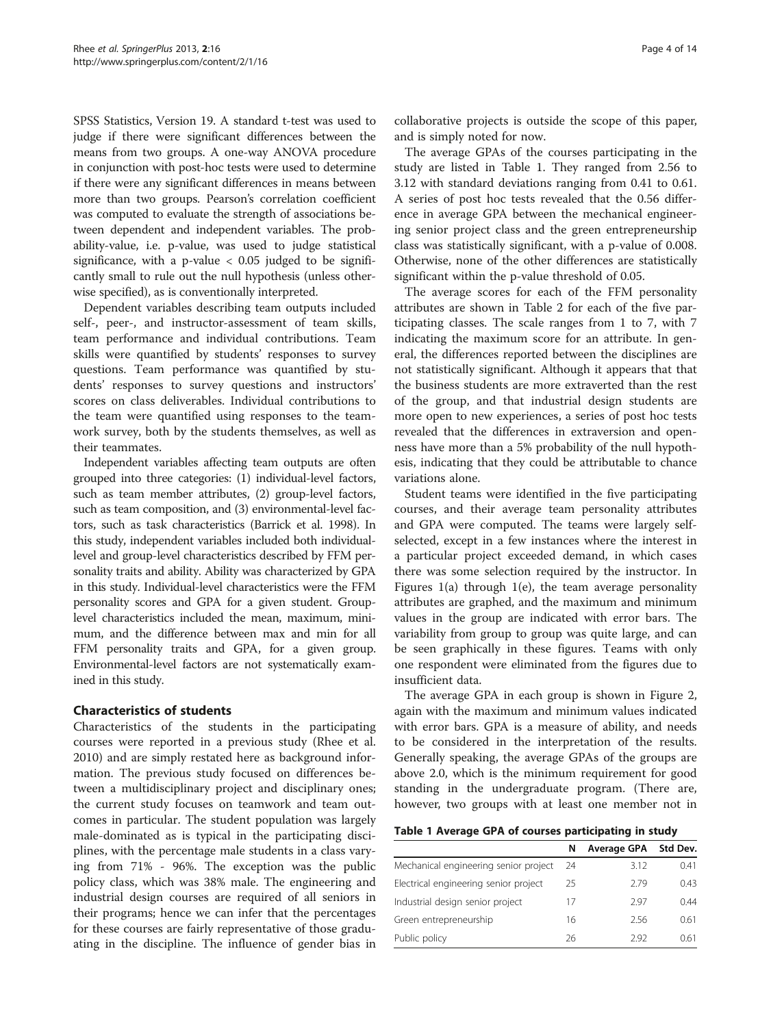SPSS Statistics, Version 19. A standard t-test was used to judge if there were significant differences between the means from two groups. A one-way ANOVA procedure in conjunction with post-hoc tests were used to determine if there were any significant differences in means between more than two groups. Pearson's correlation coefficient was computed to evaluate the strength of associations between dependent and independent variables. The probability-value, i.e. p-value, was used to judge statistical significance, with a p-value  $< 0.05$  judged to be significantly small to rule out the null hypothesis (unless otherwise specified), as is conventionally interpreted.

Dependent variables describing team outputs included self-, peer-, and instructor-assessment of team skills, team performance and individual contributions. Team skills were quantified by students' responses to survey questions. Team performance was quantified by students' responses to survey questions and instructors' scores on class deliverables. Individual contributions to the team were quantified using responses to the teamwork survey, both by the students themselves, as well as their teammates.

Independent variables affecting team outputs are often grouped into three categories: (1) individual-level factors, such as team member attributes, (2) group-level factors, such as team composition, and (3) environmental-level factors, such as task characteristics (Barrick et al. [1998\)](#page-12-0). In this study, independent variables included both individuallevel and group-level characteristics described by FFM personality traits and ability. Ability was characterized by GPA in this study. Individual-level characteristics were the FFM personality scores and GPA for a given student. Grouplevel characteristics included the mean, maximum, minimum, and the difference between max and min for all FFM personality traits and GPA, for a given group. Environmental-level factors are not systematically examined in this study.

## Characteristics of students

Characteristics of the students in the participating courses were reported in a previous study (Rhee et al. [2010](#page-13-0)) and are simply restated here as background information. The previous study focused on differences between a multidisciplinary project and disciplinary ones; the current study focuses on teamwork and team outcomes in particular. The student population was largely male-dominated as is typical in the participating disciplines, with the percentage male students in a class varying from 71% - 96%. The exception was the public policy class, which was 38% male. The engineering and industrial design courses are required of all seniors in their programs; hence we can infer that the percentages for these courses are fairly representative of those graduating in the discipline. The influence of gender bias in

collaborative projects is outside the scope of this paper, and is simply noted for now.

The average GPAs of the courses participating in the study are listed in Table 1. They ranged from 2.56 to 3.12 with standard deviations ranging from 0.41 to 0.61. A series of post hoc tests revealed that the 0.56 difference in average GPA between the mechanical engineering senior project class and the green entrepreneurship class was statistically significant, with a p-value of 0.008. Otherwise, none of the other differences are statistically significant within the p-value threshold of 0.05.

The average scores for each of the FFM personality attributes are shown in Table [2](#page-4-0) for each of the five participating classes. The scale ranges from 1 to 7, with 7 indicating the maximum score for an attribute. In general, the differences reported between the disciplines are not statistically significant. Although it appears that that the business students are more extraverted than the rest of the group, and that industrial design students are more open to new experiences, a series of post hoc tests revealed that the differences in extraversion and openness have more than a 5% probability of the null hypothesis, indicating that they could be attributable to chance variations alone.

Student teams were identified in the five participating courses, and their average team personality attributes and GPA were computed. The teams were largely selfselected, except in a few instances where the interest in a particular project exceeded demand, in which cases there was some selection required by the instructor. In Figures [1\(a\)](#page-6-0) through [1\(e\)](#page-6-0), the team average personality attributes are graphed, and the maximum and minimum values in the group are indicated with error bars. The variability from group to group was quite large, and can be seen graphically in these figures. Teams with only one respondent were eliminated from the figures due to insufficient data.

The average GPA in each group is shown in Figure [2](#page-6-0), again with the maximum and minimum values indicated with error bars. GPA is a measure of ability, and needs to be considered in the interpretation of the results. Generally speaking, the average GPAs of the groups are above 2.0, which is the minimum requirement for good standing in the undergraduate program. (There are, however, two groups with at least one member not in

Table 1 Average GPA of courses participating in study

|                                       | N  | Average GPA | Std Dev. |
|---------------------------------------|----|-------------|----------|
| Mechanical engineering senior project | 24 | 3.12        | 0.41     |
| Electrical engineering senior project | 25 | 2.79        | 0.43     |
| Industrial design senior project      | 17 | 297         | 0.44     |
| Green entrepreneurship                | 16 | 256         | 0.61     |
| Public policy                         | 26 | 292         | 0.61     |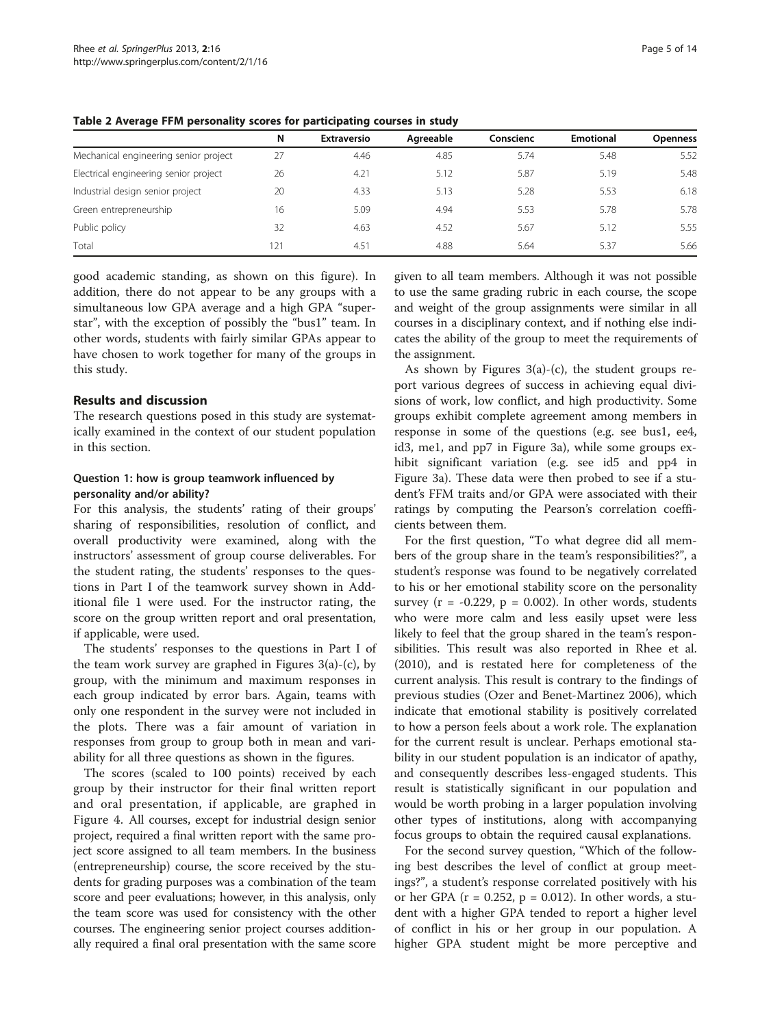|                                       | N   | <b>Extraversio</b> | Agreeable | Conscienc | <b>Emotional</b> | <b>Openness</b> |
|---------------------------------------|-----|--------------------|-----------|-----------|------------------|-----------------|
| Mechanical engineering senior project | 27  | 4.46               | 4.85      | 5.74      | 5.48             | 5.52            |
| Electrical engineering senior project | 26  | 4.21               | 5.12      | 5.87      | 5.19             | 5.48            |
| Industrial design senior project      | 20  | 4.33               | 5.13      | 5.28      | 5.53             | 6.18            |
| Green entrepreneurship                | 16  | 5.09               | 4.94      | 5.53      | 5.78             | 5.78            |
| Public policy                         | 32  | 4.63               | 4.52      | 5.67      | 5.12             | 5.55            |
| Total                                 | 121 | 4.51               | 4.88      | 5.64      | 5.37             | 5.66            |
|                                       |     |                    |           |           |                  |                 |

<span id="page-4-0"></span>Table 2 Average FFM personality scores for participating courses in study

good academic standing, as shown on this figure). In addition, there do not appear to be any groups with a simultaneous low GPA average and a high GPA "superstar", with the exception of possibly the "bus1" team. In other words, students with fairly similar GPAs appear to have chosen to work together for many of the groups in this study.

#### Results and discussion

The research questions posed in this study are systematically examined in the context of our student population in this section.

### Question 1: how is group teamwork influenced by personality and/or ability?

For this analysis, the students' rating of their groups' sharing of responsibilities, resolution of conflict, and overall productivity were examined, along with the instructors' assessment of group course deliverables. For the student rating, the students' responses to the questions in Part I of the teamwork survey shown in Additional file [1](#page-12-0) were used. For the instructor rating, the score on the group written report and oral presentation, if applicable, were used.

The students' responses to the questions in Part I of the team work survey are graphed in Figures  $3(a)-(c)$ , by group, with the minimum and maximum responses in each group indicated by error bars. Again, teams with only one respondent in the survey were not included in the plots. There was a fair amount of variation in responses from group to group both in mean and variability for all three questions as shown in the figures.

The scores (scaled to 100 points) received by each group by their instructor for their final written report and oral presentation, if applicable, are graphed in Figure [4](#page-8-0). All courses, except for industrial design senior project, required a final written report with the same project score assigned to all team members. In the business (entrepreneurship) course, the score received by the students for grading purposes was a combination of the team score and peer evaluations; however, in this analysis, only the team score was used for consistency with the other courses. The engineering senior project courses additionally required a final oral presentation with the same score given to all team members. Although it was not possible to use the same grading rubric in each course, the scope and weight of the group assignments were similar in all courses in a disciplinary context, and if nothing else indicates the ability of the group to meet the requirements of the assignment.

As shown by Figures  $3(a)-(c)$ , the student groups report various degrees of success in achieving equal divisions of work, low conflict, and high productivity. Some groups exhibit complete agreement among members in response in some of the questions (e.g. see bus1, ee4, id3, me1, and pp7 in Figure [3a\)](#page-7-0), while some groups exhibit significant variation (e.g. see id5 and pp4 in Figure [3a](#page-7-0)). These data were then probed to see if a student's FFM traits and/or GPA were associated with their ratings by computing the Pearson's correlation coefficients between them.

For the first question, "To what degree did all members of the group share in the team's responsibilities?", a student's response was found to be negatively correlated to his or her emotional stability score on the personality survey ( $r = -0.229$ ,  $p = 0.002$ ). In other words, students who were more calm and less easily upset were less likely to feel that the group shared in the team's responsibilities. This result was also reported in Rhee et al. ([2010\)](#page-13-0), and is restated here for completeness of the current analysis. This result is contrary to the findings of previous studies (Ozer and Benet-Martinez [2006\)](#page-13-0), which indicate that emotional stability is positively correlated to how a person feels about a work role. The explanation for the current result is unclear. Perhaps emotional stability in our student population is an indicator of apathy, and consequently describes less-engaged students. This result is statistically significant in our population and would be worth probing in a larger population involving other types of institutions, along with accompanying focus groups to obtain the required causal explanations.

For the second survey question, "Which of the following best describes the level of conflict at group meetings?", a student's response correlated positively with his or her GPA ( $r = 0.252$ ,  $p = 0.012$ ). In other words, a student with a higher GPA tended to report a higher level of conflict in his or her group in our population. A higher GPA student might be more perceptive and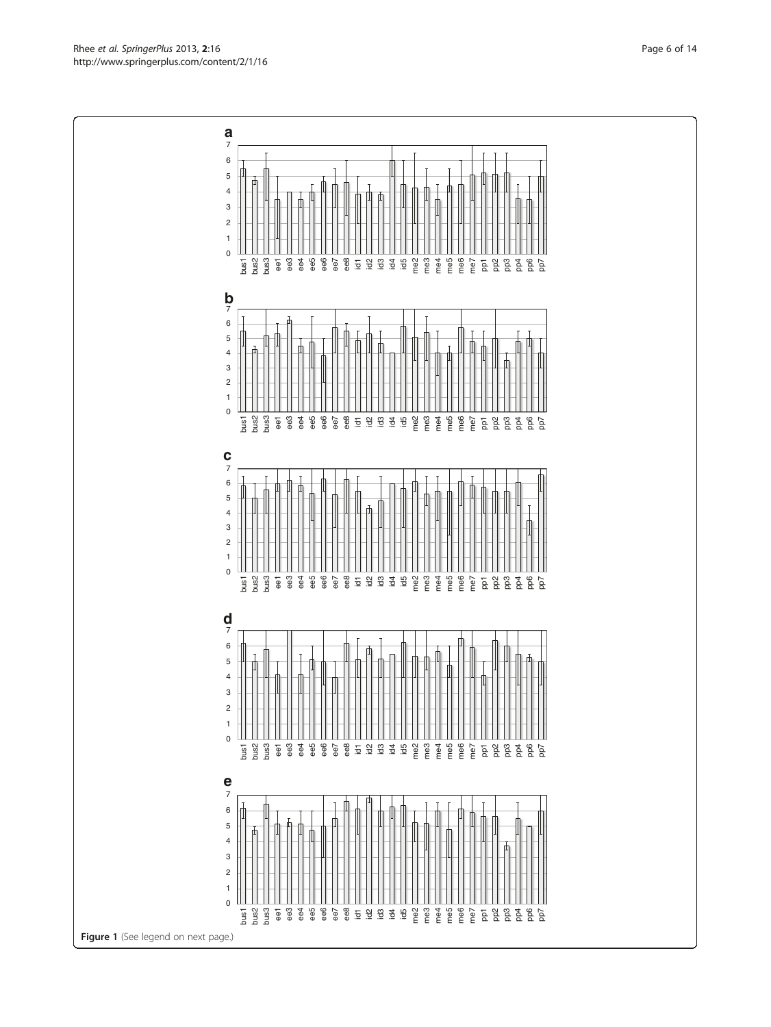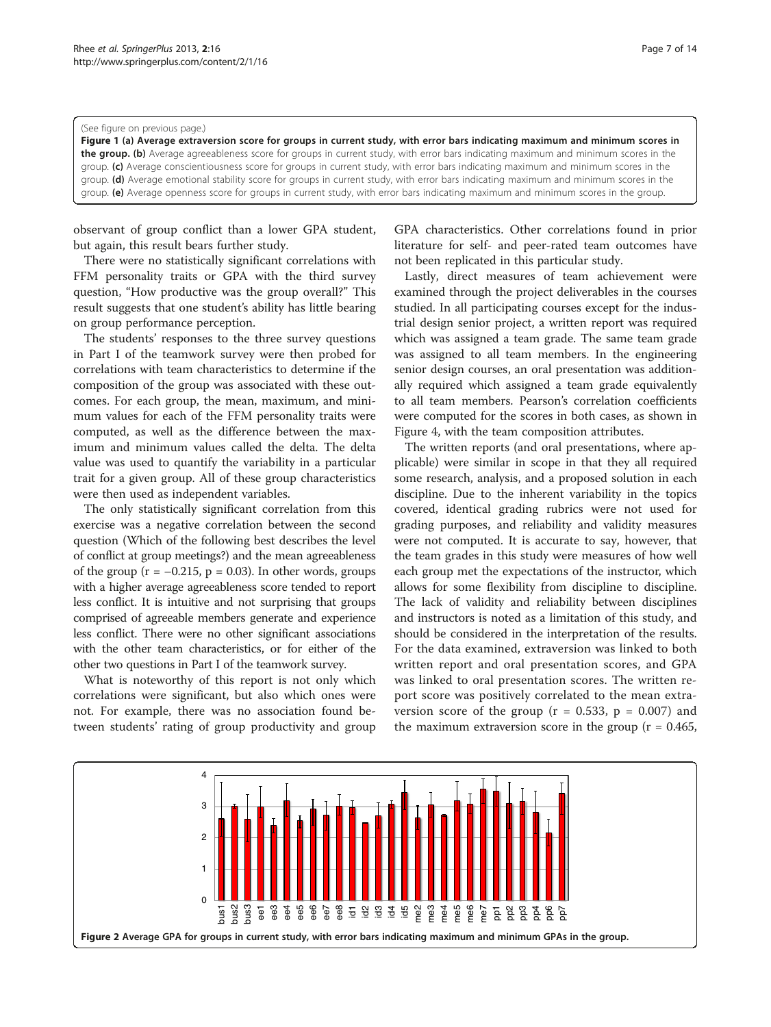#### <span id="page-6-0"></span>(See figure on previous page.)

Figure 1 (a) Average extraversion score for groups in current study, with error bars indicating maximum and minimum scores in the group. (b) Average agreeableness score for groups in current study, with error bars indicating maximum and minimum scores in the group. (c) Average conscientiousness score for groups in current study, with error bars indicating maximum and minimum scores in the group. (d) Average emotional stability score for groups in current study, with error bars indicating maximum and minimum scores in the group. (e) Average openness score for groups in current study, with error bars indicating maximum and minimum scores in the group.

observant of group conflict than a lower GPA student, but again, this result bears further study.

There were no statistically significant correlations with FFM personality traits or GPA with the third survey question, "How productive was the group overall?" This result suggests that one student's ability has little bearing on group performance perception.

The students' responses to the three survey questions in Part I of the teamwork survey were then probed for correlations with team characteristics to determine if the composition of the group was associated with these outcomes. For each group, the mean, maximum, and minimum values for each of the FFM personality traits were computed, as well as the difference between the maximum and minimum values called the delta. The delta value was used to quantify the variability in a particular trait for a given group. All of these group characteristics were then used as independent variables.

The only statistically significant correlation from this exercise was a negative correlation between the second question (Which of the following best describes the level of conflict at group meetings?) and the mean agreeableness of the group  $(r = -0.215, p = 0.03)$ . In other words, groups with a higher average agreeableness score tended to report less conflict. It is intuitive and not surprising that groups comprised of agreeable members generate and experience less conflict. There were no other significant associations with the other team characteristics, or for either of the other two questions in Part I of the teamwork survey.

What is noteworthy of this report is not only which correlations were significant, but also which ones were not. For example, there was no association found between students' rating of group productivity and group

GPA characteristics. Other correlations found in prior literature for self- and peer-rated team outcomes have not been replicated in this particular study.

Lastly, direct measures of team achievement were examined through the project deliverables in the courses studied. In all participating courses except for the industrial design senior project, a written report was required which was assigned a team grade. The same team grade was assigned to all team members. In the engineering senior design courses, an oral presentation was additionally required which assigned a team grade equivalently to all team members. Pearson's correlation coefficients were computed for the scores in both cases, as shown in Figure [4](#page-8-0), with the team composition attributes.

The written reports (and oral presentations, where applicable) were similar in scope in that they all required some research, analysis, and a proposed solution in each discipline. Due to the inherent variability in the topics covered, identical grading rubrics were not used for grading purposes, and reliability and validity measures were not computed. It is accurate to say, however, that the team grades in this study were measures of how well each group met the expectations of the instructor, which allows for some flexibility from discipline to discipline. The lack of validity and reliability between disciplines and instructors is noted as a limitation of this study, and should be considered in the interpretation of the results. For the data examined, extraversion was linked to both written report and oral presentation scores, and GPA was linked to oral presentation scores. The written report score was positively correlated to the mean extraversion score of the group ( $r = 0.533$ ,  $p = 0.007$ ) and the maximum extraversion score in the group ( $r = 0.465$ ,

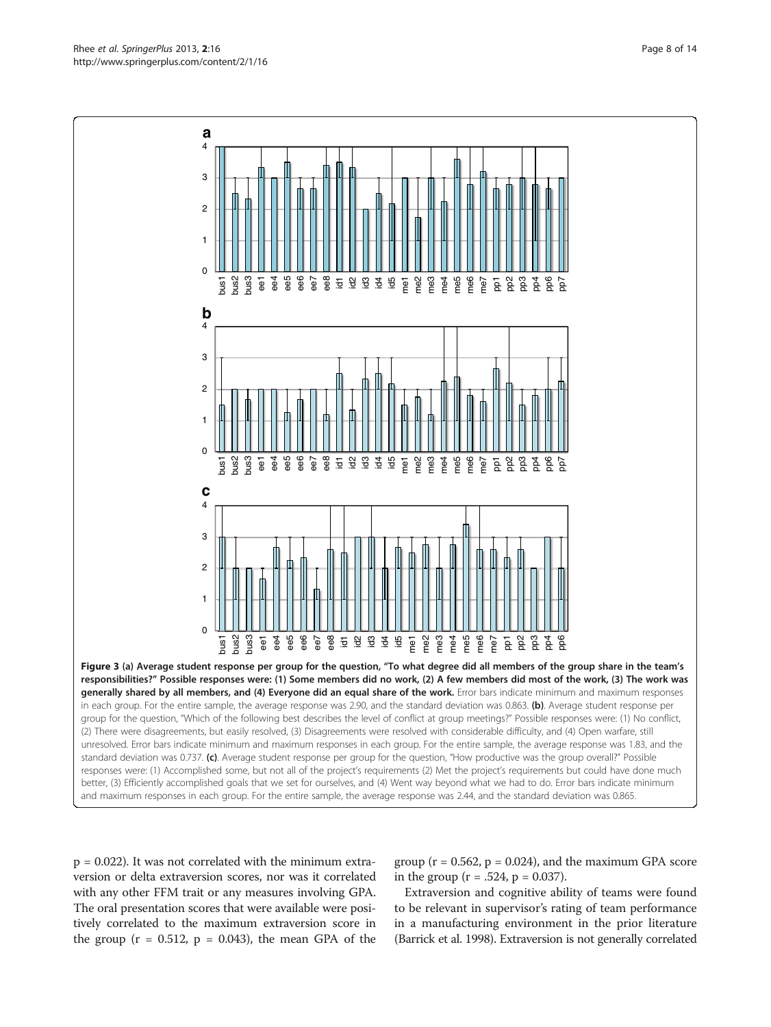$p = 0.022$ ). It was not correlated with the minimum extraversion or delta extraversion scores, nor was it correlated with any other FFM trait or any measures involving GPA. The oral presentation scores that were available were positively correlated to the maximum extraversion score in the group ( $r = 0.512$ ,  $p = 0.043$ ), the mean GPA of the

group ( $r = 0.562$ ,  $p = 0.024$ ), and the maximum GPA score in the group ( $r = .524$ ,  $p = 0.037$ ).

Extraversion and cognitive ability of teams were found to be relevant in supervisor's rating of team performance in a manufacturing environment in the prior literature (Barrick et al. [1998](#page-12-0)). Extraversion is not generally correlated

<span id="page-7-0"></span>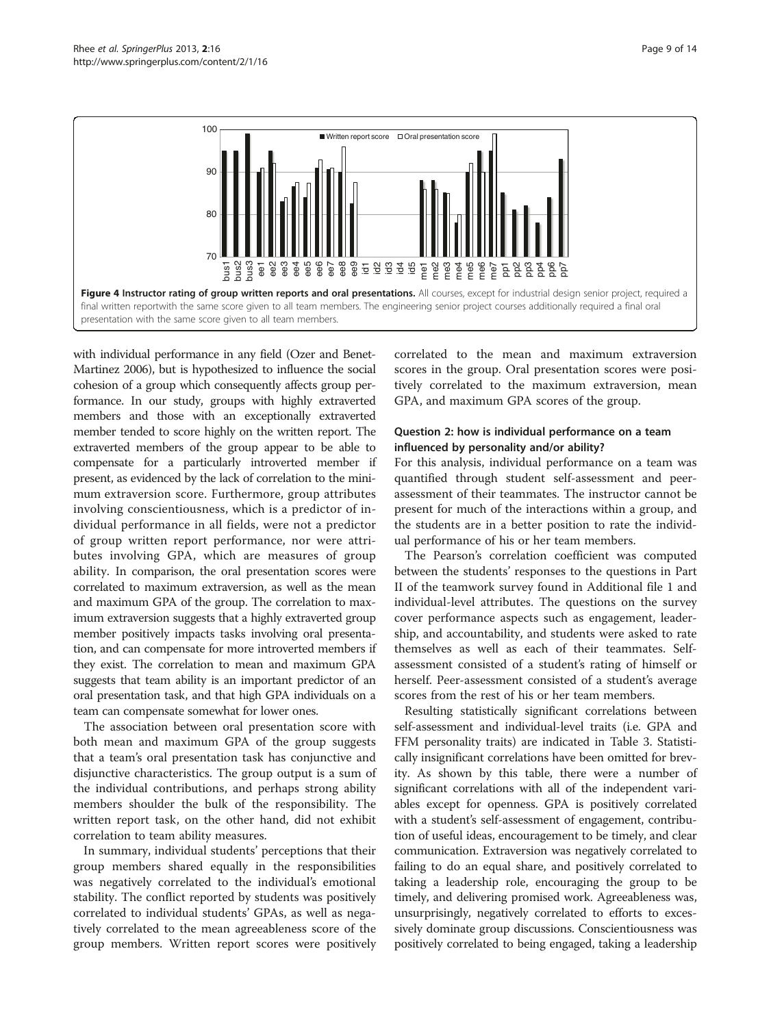<span id="page-8-0"></span>

with individual performance in any field (Ozer and Benet-Martinez [2006\)](#page-13-0), but is hypothesized to influence the social cohesion of a group which consequently affects group performance. In our study, groups with highly extraverted members and those with an exceptionally extraverted member tended to score highly on the written report. The extraverted members of the group appear to be able to compensate for a particularly introverted member if present, as evidenced by the lack of correlation to the minimum extraversion score. Furthermore, group attributes involving conscientiousness, which is a predictor of individual performance in all fields, were not a predictor of group written report performance, nor were attributes involving GPA, which are measures of group ability. In comparison, the oral presentation scores were correlated to maximum extraversion, as well as the mean and maximum GPA of the group. The correlation to maximum extraversion suggests that a highly extraverted group member positively impacts tasks involving oral presentation, and can compensate for more introverted members if they exist. The correlation to mean and maximum GPA suggests that team ability is an important predictor of an oral presentation task, and that high GPA individuals on a team can compensate somewhat for lower ones.

The association between oral presentation score with both mean and maximum GPA of the group suggests that a team's oral presentation task has conjunctive and disjunctive characteristics. The group output is a sum of the individual contributions, and perhaps strong ability members shoulder the bulk of the responsibility. The written report task, on the other hand, did not exhibit correlation to team ability measures.

In summary, individual students' perceptions that their group members shared equally in the responsibilities was negatively correlated to the individual's emotional stability. The conflict reported by students was positively correlated to individual students' GPAs, as well as negatively correlated to the mean agreeableness score of the group members. Written report scores were positively correlated to the mean and maximum extraversion scores in the group. Oral presentation scores were positively correlated to the maximum extraversion, mean GPA, and maximum GPA scores of the group.

## Question 2: how is individual performance on a team influenced by personality and/or ability?

For this analysis, individual performance on a team was quantified through student self-assessment and peerassessment of their teammates. The instructor cannot be present for much of the interactions within a group, and the students are in a better position to rate the individual performance of his or her team members.

The Pearson's correlation coefficient was computed between the students' responses to the questions in Part II of the teamwork survey found in Additional file [1](#page-12-0) and individual-level attributes. The questions on the survey cover performance aspects such as engagement, leadership, and accountability, and students were asked to rate themselves as well as each of their teammates. Selfassessment consisted of a student's rating of himself or herself. Peer-assessment consisted of a student's average scores from the rest of his or her team members.

Resulting statistically significant correlations between self-assessment and individual-level traits (i.e. GPA and FFM personality traits) are indicated in Table [3.](#page-9-0) Statistically insignificant correlations have been omitted for brevity. As shown by this table, there were a number of significant correlations with all of the independent variables except for openness. GPA is positively correlated with a student's self-assessment of engagement, contribution of useful ideas, encouragement to be timely, and clear communication. Extraversion was negatively correlated to failing to do an equal share, and positively correlated to taking a leadership role, encouraging the group to be timely, and delivering promised work. Agreeableness was, unsurprisingly, negatively correlated to efforts to excessively dominate group discussions. Conscientiousness was positively correlated to being engaged, taking a leadership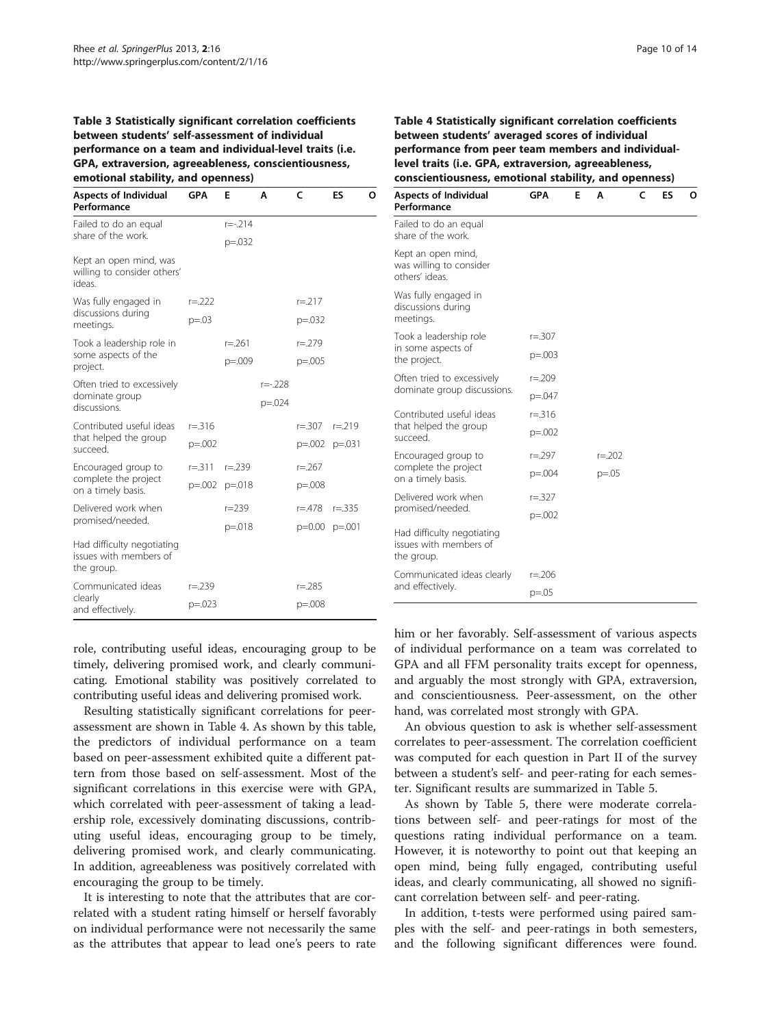<span id="page-9-0"></span>Table 3 Statistically significant correlation coefficients between students' self-assessment of individual performance on a team and individual-level traits (i.e. GPA, extraversion, agreeableness, conscientiousness, emotional stability, and openness)

| <b>Aspects of Individual</b><br>Performance                        | <b>GPA</b>  | Е           | A           | C           | ES          | O |
|--------------------------------------------------------------------|-------------|-------------|-------------|-------------|-------------|---|
| Failed to do an equal                                              |             | $r = -214$  |             |             |             |   |
| share of the work.                                                 |             | $p = 0.032$ |             |             |             |   |
| Kept an open mind, was<br>willing to consider others'<br>ideas.    |             |             |             |             |             |   |
| Was fully engaged in                                               | $r = 222$   |             |             | $r = 217$   |             |   |
| discussions during<br>meetings.                                    | $p = 0.03$  |             |             | $p=.032$    |             |   |
| Took a leadership role in                                          |             | $r = 261$   |             | $r = 279$   |             |   |
| some aspects of the<br>project.                                    |             | $p = 009$   |             | $p = 0.005$ |             |   |
| Often tried to excessively                                         |             |             | $r = -228$  |             |             |   |
| dominate group<br>discussions.                                     |             |             | $p = 0.024$ |             |             |   |
| Contributed useful ideas                                           | $r = 316$   |             |             | $r = 307$   | $r = 219$   |   |
| that helped the group<br>succeed.                                  | $p = 0.002$ |             |             | $p=.002$    | p=.031      |   |
| Encouraged group to                                                | $r = 311$   | $r = 239$   |             | $r = 267$   |             |   |
| complete the project<br>on a timely basis.                         | p=.002      | $p = 018$   |             | $p = 0.008$ |             |   |
| Delivered work when<br>promised/needed.                            |             | $r = 239$   |             | $r = 478$   | $r = 335$   |   |
|                                                                    |             | $p = 018$   |             | $p=0.00$    | $p = 0.001$ |   |
| Had difficulty negotiating<br>issues with members of<br>the group. |             |             |             |             |             |   |
| Communicated ideas                                                 | $r = 239$   |             |             | $r = 285$   |             |   |
| clearly<br>and effectively.                                        | $p = 0.023$ |             |             | $p = 008$   |             |   |

Table 4 Statistically significant correlation coefficients between students' averaged scores of individual performance from peer team members and individuallevel traits (i.e. GPA, extraversion, agreeableness, conscientiousness, emotional stability, and openness)

| <b>Aspects of Individual</b><br>Performance                        | <b>GPA</b>  | Е | Α         | c | ES | o |
|--------------------------------------------------------------------|-------------|---|-----------|---|----|---|
| Failed to do an equal<br>share of the work.                        |             |   |           |   |    |   |
| Kept an open mind,<br>was willing to consider<br>others' ideas.    |             |   |           |   |    |   |
| Was fully engaged in<br>discussions during<br>meetings.            |             |   |           |   |    |   |
| Took a leadership role                                             | $r = 0.307$ |   |           |   |    |   |
| in some aspects of<br>the project.                                 | $p = 0.003$ |   |           |   |    |   |
| Often tried to excessively                                         | $r = 209$   |   |           |   |    |   |
| dominate group discussions.                                        | $p = 0.047$ |   |           |   |    |   |
| Contributed useful ideas                                           | $r = 316$   |   |           |   |    |   |
| that helped the group<br>succeed.                                  | $p = 0.002$ |   |           |   |    |   |
| Encouraged group to                                                | $r = 297$   |   | $r = 202$ |   |    |   |
| complete the project<br>on a timely basis.                         | $p = 0.004$ |   | $p=.05$   |   |    |   |
| Delivered work when                                                | $r = 327$   |   |           |   |    |   |
| promised/needed.                                                   | $p = 0.002$ |   |           |   |    |   |
| Had difficulty negotiating<br>issues with members of<br>the group. |             |   |           |   |    |   |
| Communicated ideas clearly                                         | $r = 206$   |   |           |   |    |   |
| and effectively.                                                   | $p = 0.05$  |   |           |   |    |   |

role, contributing useful ideas, encouraging group to be timely, delivering promised work, and clearly communicating. Emotional stability was positively correlated to contributing useful ideas and delivering promised work.

Resulting statistically significant correlations for peerassessment are shown in Table 4. As shown by this table, the predictors of individual performance on a team based on peer-assessment exhibited quite a different pattern from those based on self-assessment. Most of the significant correlations in this exercise were with GPA, which correlated with peer-assessment of taking a leadership role, excessively dominating discussions, contributing useful ideas, encouraging group to be timely, delivering promised work, and clearly communicating. In addition, agreeableness was positively correlated with encouraging the group to be timely.

It is interesting to note that the attributes that are correlated with a student rating himself or herself favorably on individual performance were not necessarily the same as the attributes that appear to lead one's peers to rate him or her favorably. Self-assessment of various aspects of individual performance on a team was correlated to GPA and all FFM personality traits except for openness, and arguably the most strongly with GPA, extraversion, and conscientiousness. Peer-assessment, on the other hand, was correlated most strongly with GPA.

An obvious question to ask is whether self-assessment correlates to peer-assessment. The correlation coefficient was computed for each question in Part II of the survey between a student's self- and peer-rating for each semester. Significant results are summarized in Table [5](#page-10-0).

As shown by Table [5](#page-10-0), there were moderate correlations between self- and peer-ratings for most of the questions rating individual performance on a team. However, it is noteworthy to point out that keeping an open mind, being fully engaged, contributing useful ideas, and clearly communicating, all showed no significant correlation between self- and peer-rating.

In addition, t-tests were performed using paired samples with the self- and peer-ratings in both semesters, and the following significant differences were found.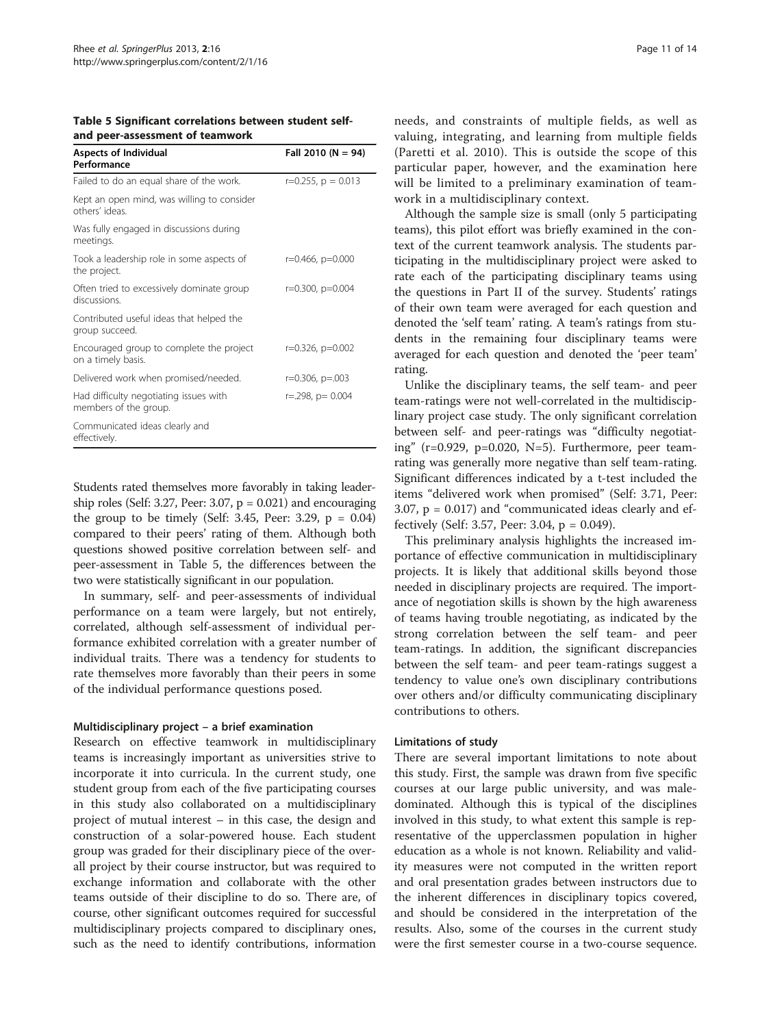<span id="page-10-0"></span>Table 5 Significant correlations between student selfand peer-assessment of teamwork

| <b>Aspects of Individual</b><br>Performance                     | Fall 2010 (N = 94)        |
|-----------------------------------------------------------------|---------------------------|
| Failed to do an equal share of the work.                        | $r=0.255$ , $p = 0.013$   |
| Kept an open mind, was willing to consider<br>others' ideas     |                           |
| Was fully engaged in discussions during<br>meetings.            |                           |
| Took a leadership role in some aspects of<br>the project.       | $r=0.466$ , $p=0.000$     |
| Often tried to excessively dominate group<br>discussions.       | $r = 0.300$ , $p = 0.004$ |
| Contributed useful ideas that helped the<br>group succeed.      |                           |
| Encouraged group to complete the project<br>on a timely basis.  | $r=0.326$ , $p=0.002$     |
| Delivered work when promised/needed.                            | $r=0.306$ , $p=.003$      |
| Had difficulty negotiating issues with<br>members of the group. | $r = 298$ , $p = 0.004$   |
| Communicated ideas clearly and<br>effectively.                  |                           |

Students rated themselves more favorably in taking leadership roles (Self: 3.27, Peer: 3.07,  $p = 0.021$ ) and encouraging the group to be timely (Self: 3.45, Peer: 3.29,  $p = 0.04$ ) compared to their peers' rating of them. Although both questions showed positive correlation between self- and peer-assessment in Table 5, the differences between the two were statistically significant in our population.

In summary, self- and peer-assessments of individual performance on a team were largely, but not entirely, correlated, although self-assessment of individual performance exhibited correlation with a greater number of individual traits. There was a tendency for students to rate themselves more favorably than their peers in some of the individual performance questions posed.

#### Multidisciplinary project – a brief examination

Research on effective teamwork in multidisciplinary teams is increasingly important as universities strive to incorporate it into curricula. In the current study, one student group from each of the five participating courses in this study also collaborated on a multidisciplinary project of mutual interest – in this case, the design and construction of a solar-powered house. Each student group was graded for their disciplinary piece of the overall project by their course instructor, but was required to exchange information and collaborate with the other teams outside of their discipline to do so. There are, of course, other significant outcomes required for successful multidisciplinary projects compared to disciplinary ones, such as the need to identify contributions, information

needs, and constraints of multiple fields, as well as valuing, integrating, and learning from multiple fields (Paretti et al. [2010](#page-13-0)). This is outside the scope of this particular paper, however, and the examination here will be limited to a preliminary examination of teamwork in a multidisciplinary context.

Although the sample size is small (only 5 participating teams), this pilot effort was briefly examined in the context of the current teamwork analysis. The students participating in the multidisciplinary project were asked to rate each of the participating disciplinary teams using the questions in Part II of the survey. Students' ratings of their own team were averaged for each question and denoted the 'self team' rating. A team's ratings from students in the remaining four disciplinary teams were averaged for each question and denoted the 'peer team' rating.

Unlike the disciplinary teams, the self team- and peer team-ratings were not well-correlated in the multidisciplinary project case study. The only significant correlation between self- and peer-ratings was "difficulty negotiating" ( $r=0.929$ ,  $p=0.020$ ,  $N=5$ ). Furthermore, peer teamrating was generally more negative than self team-rating. Significant differences indicated by a t-test included the items "delivered work when promised" (Self: 3.71, Peer:  $3.07$ ,  $p = 0.017$ ) and "communicated ideas clearly and effectively (Self: 3.57, Peer: 3.04, p = 0.049).

This preliminary analysis highlights the increased importance of effective communication in multidisciplinary projects. It is likely that additional skills beyond those needed in disciplinary projects are required. The importance of negotiation skills is shown by the high awareness of teams having trouble negotiating, as indicated by the strong correlation between the self team- and peer team-ratings. In addition, the significant discrepancies between the self team- and peer team-ratings suggest a tendency to value one's own disciplinary contributions over others and/or difficulty communicating disciplinary contributions to others.

#### Limitations of study

There are several important limitations to note about this study. First, the sample was drawn from five specific courses at our large public university, and was maledominated. Although this is typical of the disciplines involved in this study, to what extent this sample is representative of the upperclassmen population in higher education as a whole is not known. Reliability and validity measures were not computed in the written report and oral presentation grades between instructors due to the inherent differences in disciplinary topics covered, and should be considered in the interpretation of the results. Also, some of the courses in the current study were the first semester course in a two-course sequence.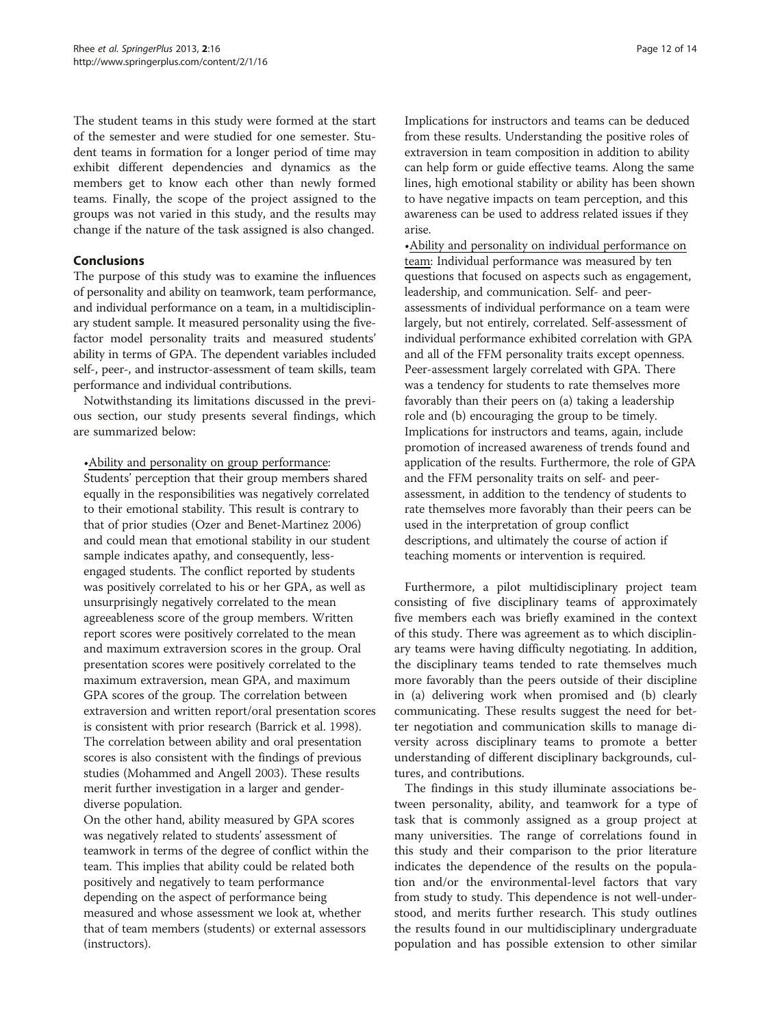The student teams in this study were formed at the start of the semester and were studied for one semester. Student teams in formation for a longer period of time may exhibit different dependencies and dynamics as the members get to know each other than newly formed teams. Finally, the scope of the project assigned to the groups was not varied in this study, and the results may change if the nature of the task assigned is also changed.

## Conclusions

The purpose of this study was to examine the influences of personality and ability on teamwork, team performance, and individual performance on a team, in a multidisciplinary student sample. It measured personality using the fivefactor model personality traits and measured students' ability in terms of GPA. The dependent variables included self-, peer-, and instructor-assessment of team skills, team performance and individual contributions.

Notwithstanding its limitations discussed in the previous section, our study presents several findings, which are summarized below:

•Ability and personality on group performance:

Students' perception that their group members shared equally in the responsibilities was negatively correlated to their emotional stability. This result is contrary to that of prior studies (Ozer and Benet-Martinez [2006](#page-13-0)) and could mean that emotional stability in our student sample indicates apathy, and consequently, lessengaged students. The conflict reported by students was positively correlated to his or her GPA, as well as unsurprisingly negatively correlated to the mean agreeableness score of the group members. Written report scores were positively correlated to the mean and maximum extraversion scores in the group. Oral presentation scores were positively correlated to the maximum extraversion, mean GPA, and maximum GPA scores of the group. The correlation between extraversion and written report/oral presentation scores is consistent with prior research (Barrick et al. [1998\)](#page-12-0). The correlation between ability and oral presentation scores is also consistent with the findings of previous studies (Mohammed and Angell [2003](#page-13-0)). These results merit further investigation in a larger and genderdiverse population.

On the other hand, ability measured by GPA scores was negatively related to students' assessment of teamwork in terms of the degree of conflict within the team. This implies that ability could be related both positively and negatively to team performance depending on the aspect of performance being measured and whose assessment we look at, whether that of team members (students) or external assessors (instructors).

Implications for instructors and teams can be deduced from these results. Understanding the positive roles of extraversion in team composition in addition to ability can help form or guide effective teams. Along the same lines, high emotional stability or ability has been shown to have negative impacts on team perception, and this awareness can be used to address related issues if they arise.

•Ability and personality on individual performance on team: Individual performance was measured by ten questions that focused on aspects such as engagement, leadership, and communication. Self- and peerassessments of individual performance on a team were largely, but not entirely, correlated. Self-assessment of individual performance exhibited correlation with GPA and all of the FFM personality traits except openness. Peer-assessment largely correlated with GPA. There was a tendency for students to rate themselves more favorably than their peers on (a) taking a leadership role and (b) encouraging the group to be timely. Implications for instructors and teams, again, include promotion of increased awareness of trends found and application of the results. Furthermore, the role of GPA and the FFM personality traits on self- and peerassessment, in addition to the tendency of students to rate themselves more favorably than their peers can be used in the interpretation of group conflict descriptions, and ultimately the course of action if teaching moments or intervention is required.

Furthermore, a pilot multidisciplinary project team consisting of five disciplinary teams of approximately five members each was briefly examined in the context of this study. There was agreement as to which disciplinary teams were having difficulty negotiating. In addition, the disciplinary teams tended to rate themselves much more favorably than the peers outside of their discipline in (a) delivering work when promised and (b) clearly communicating. These results suggest the need for better negotiation and communication skills to manage diversity across disciplinary teams to promote a better understanding of different disciplinary backgrounds, cultures, and contributions.

The findings in this study illuminate associations between personality, ability, and teamwork for a type of task that is commonly assigned as a group project at many universities. The range of correlations found in this study and their comparison to the prior literature indicates the dependence of the results on the population and/or the environmental-level factors that vary from study to study. This dependence is not well-understood, and merits further research. This study outlines the results found in our multidisciplinary undergraduate population and has possible extension to other similar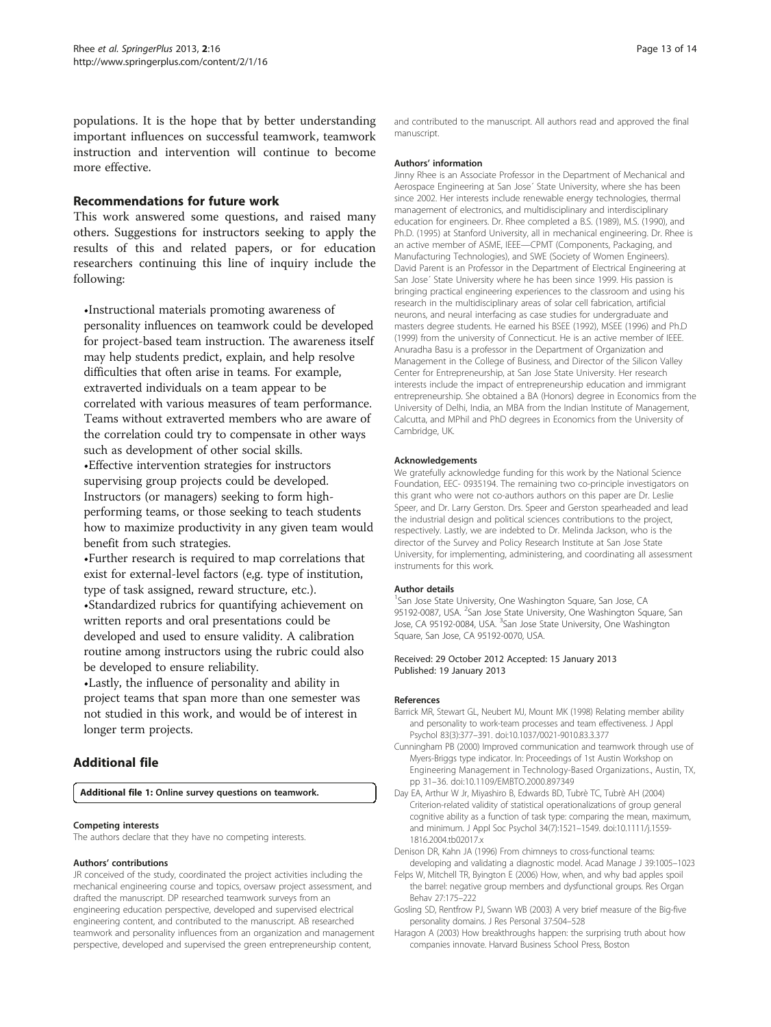<span id="page-12-0"></span>populations. It is the hope that by better understanding important influences on successful teamwork, teamwork instruction and intervention will continue to become more effective.

#### Recommendations for future work

This work answered some questions, and raised many others. Suggestions for instructors seeking to apply the results of this and related papers, or for education researchers continuing this line of inquiry include the following:

•Instructional materials promoting awareness of personality influences on teamwork could be developed for project-based team instruction. The awareness itself may help students predict, explain, and help resolve difficulties that often arise in teams. For example, extraverted individuals on a team appear to be correlated with various measures of team performance. Teams without extraverted members who are aware of the correlation could try to compensate in other ways such as development of other social skills. •Effective intervention strategies for instructors supervising group projects could be developed. Instructors (or managers) seeking to form highperforming teams, or those seeking to teach students how to maximize productivity in any given team would benefit from such strategies.

•Further research is required to map correlations that exist for external-level factors (e,g. type of institution, type of task assigned, reward structure, etc.).

•Standardized rubrics for quantifying achievement on written reports and oral presentations could be developed and used to ensure validity. A calibration routine among instructors using the rubric could also be developed to ensure reliability.

•Lastly, the influence of personality and ability in project teams that span more than one semester was not studied in this work, and would be of interest in longer term projects.

## Additional file

[Additional file 1:](http://www.biomedcentral.com/content/supplementary/2193-1801-2-16-S1.doc) Online survey questions on teamwork.

#### Competing interests

The authors declare that they have no competing interests.

#### Authors' contributions

JR conceived of the study, coordinated the project activities including the mechanical engineering course and topics, oversaw project assessment, and drafted the manuscript. DP researched teamwork surveys from an engineering education perspective, developed and supervised electrical engineering content, and contributed to the manuscript. AB researched teamwork and personality influences from an organization and management perspective, developed and supervised the green entrepreneurship content,

and contributed to the manuscript. All authors read and approved the final manuscript.

#### Authors' information

Jinny Rhee is an Associate Professor in the Department of Mechanical and Aerospace Engineering at San Jose´ State University, where she has been since 2002. Her interests include renewable energy technologies, thermal management of electronics, and multidisciplinary and interdisciplinary education for engineers. Dr. Rhee completed a B.S. (1989), M.S. (1990), and Ph.D. (1995) at Stanford University, all in mechanical engineering. Dr. Rhee is an active member of ASME, IEEE—CPMT (Components, Packaging, and Manufacturing Technologies), and SWE (Society of Women Engineers). David Parent is an Professor in the Department of Electrical Engineering at San Jose´ State University where he has been since 1999. His passion is bringing practical engineering experiences to the classroom and using his research in the multidisciplinary areas of solar cell fabrication, artificial neurons, and neural interfacing as case studies for undergraduate and masters degree students. He earned his BSEE (1992), MSEE (1996) and Ph.D (1999) from the university of Connecticut. He is an active member of IEEE. Anuradha Basu is a professor in the Department of Organization and Management in the College of Business, and Director of the Silicon Valley Center for Entrepreneurship, at San Jose State University. Her research interests include the impact of entrepreneurship education and immigrant entrepreneurship. She obtained a BA (Honors) degree in Economics from the University of Delhi, India, an MBA from the Indian Institute of Management, Calcutta, and MPhil and PhD degrees in Economics from the University of Cambridge, UK.

#### Acknowledgements

We gratefully acknowledge funding for this work by the National Science Foundation, EEC- 0935194. The remaining two co-principle investigators on this grant who were not co-authors authors on this paper are Dr. Leslie Speer, and Dr. Larry Gerston. Drs. Speer and Gerston spearheaded and lead the industrial design and political sciences contributions to the project, respectively. Lastly, we are indebted to Dr. Melinda Jackson, who is the director of the Survey and Policy Research Institute at San Jose State University, for implementing, administering, and coordinating all assessment instruments for this work.

#### Author details

<sup>1</sup>San Jose State University, One Washington Square, San Jose, CA 95192-0087, USA. <sup>2</sup>San Jose State University, One Washington Square, San Jose, CA 95192-0084, USA. <sup>3</sup>San Jose State University, One Washington Square, San Jose, CA 95192-0070, USA.

#### Received: 29 October 2012 Accepted: 15 January 2013 Published: 19 January 2013

#### References

- Barrick MR, Stewart GL, Neubert MJ, Mount MK (1998) Relating member ability and personality to work-team processes and team effectiveness. J Appl Psychol 83(3):377–391. doi[:10.1037/0021-9010.83.3.377](http://dx.doi.org/10.1037/0021-9010.83.3.377)
- Cunningham PB (2000) Improved communication and teamwork through use of Myers-Briggs type indicator. In: Proceedings of 1st Austin Workshop on Engineering Management in Technology-Based Organizations., Austin, TX, pp 31–36. doi[:10.1109/EMBTO.2000.897349](http://dx.doi.org/10.1109/EMBTO.2000.897349)
- Day EA, Arthur W Jr, Miyashiro B, Edwards BD, Tubrè TC, Tubrè AH (2004) Criterion-related validity of statistical operationalizations of group general cognitive ability as a function of task type: comparing the mean, maximum, and minimum. J Appl Soc Psychol 34(7):1521–1549. doi[:10.1111/j.1559-](http://dx.doi.org/10.1111/j.1559-1816.2004.tb02017.x) [1816.2004.tb02017.x](http://dx.doi.org/10.1111/j.1559-1816.2004.tb02017.x)
- Denison DR, Kahn JA (1996) From chimneys to cross-functional teams: developing and validating a diagnostic model. Acad Manage J 39:1005–1023
- Felps W, Mitchell TR, Byington E (2006) How, when, and why bad apples spoil the barrel: negative group members and dysfunctional groups. Res Organ Behav 27:175–222
- Gosling SD, Rentfrow PJ, Swann WB (2003) A very brief measure of the Big-five personality domains. J Res Personal 37:504–528
- Haragon A (2003) How breakthroughs happen: the surprising truth about how companies innovate. Harvard Business School Press, Boston